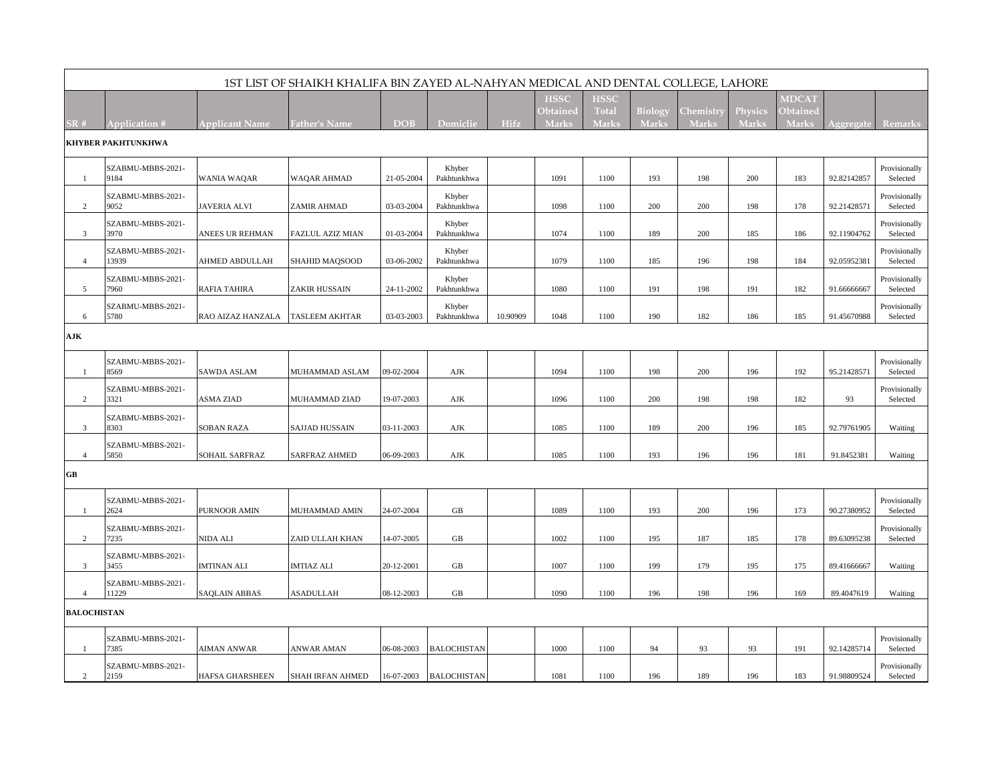| 1ST LIST OF SHAIKH KHALIFA BIN ZAYED AL-NAHYAN MEDICAL AND DENTAL COLLEGE, LAHORE |                            |                        |                      |            |                       |             |                          |                       |                         |                                  |                                |                          |             |                           |
|-----------------------------------------------------------------------------------|----------------------------|------------------------|----------------------|------------|-----------------------|-------------|--------------------------|-----------------------|-------------------------|----------------------------------|--------------------------------|--------------------------|-------------|---------------------------|
|                                                                                   |                            |                        |                      |            |                       |             | <b>HSSC</b>              | <b>HSSC</b>           |                         |                                  |                                | <b>MDCAT</b>             |             |                           |
| SR#                                                                               | Application #              | Applicant Name         | <b>Father's Name</b> | <b>DOB</b> | Domiclie              | <b>Hifz</b> | Obtained<br><b>Marks</b> | <b>Total</b><br>Marks | <b>Biology</b><br>Marks | <b>Chemistry</b><br><b>Marks</b> | <b>Physics</b><br><b>Marks</b> | Obtained<br><b>Marks</b> | Aggregat    | <b>Remarks</b>            |
| KHYBER PAKHTUNKHWA                                                                |                            |                        |                      |            |                       |             |                          |                       |                         |                                  |                                |                          |             |                           |
| -1                                                                                | SZABMU-MBBS-2021-<br>9184  | WANIA WAQAR            | WAQAR AHMAD          | 21-05-2004 | Khyber<br>Pakhtunkhwa |             | 1091                     | 1100                  | 193                     | 198                              | 200                            | 183                      | 92.82142857 | Provisionally<br>Selected |
| $\overline{2}$                                                                    | SZABMU-MBBS-2021-<br>9052  | <b>JAVERIA ALVI</b>    | ZAMIR AHMAD          | 03-03-2004 | Khyber<br>Pakhtunkhwa |             | 1098                     | 1100                  | 200                     | 200                              | 198                            | 178                      | 92.21428571 | Provisionally<br>Selected |
| $\mathbf{3}$                                                                      | SZABMU-MBBS-2021-<br>3970  | ANEES UR REHMAN        | FAZLUL AZIZ MIAN     | 01-03-2004 | Khyber<br>Pakhtunkhwa |             | 1074                     | 1100                  | 189                     | 200                              | 185                            | 186                      | 92.11904762 | Provisionally<br>Selected |
| $\overline{4}$                                                                    | SZABMU-MBBS-2021-<br>13939 | AHMED ABDULLAH         | SHAHID MAQSOOD       | 03-06-2002 | Khyber<br>Pakhtunkhwa |             | 1079                     | 1100                  | 185                     | 196                              | 198                            | 184                      | 92.05952381 | Provisionally<br>Selected |
| 5                                                                                 | SZABMU-MBBS-2021-<br>7960  | RAFIA TAHIRA           | ZAKIR HUSSAIN        | 24-11-2002 | Khyber<br>Pakhtunkhwa |             | 1080                     | 1100                  | 191                     | 198                              | 191                            | 182                      | 91.66666667 | Provisionally<br>Selected |
| 6                                                                                 | SZABMU-MBBS-2021-<br>5780  | RAO AIZAZ HANZALA      | TASLEEM AKHTAR       | 03-03-2003 | Khyber<br>Pakhtunkhwa | 10.90909    | 1048                     | 1100                  | 190                     | 182                              | 186                            | 185                      | 91.45670988 | Provisionally<br>Selected |
| AJK                                                                               |                            |                        |                      |            |                       |             |                          |                       |                         |                                  |                                |                          |             |                           |
| -1                                                                                | SZABMU-MBBS-2021-<br>8569  | SAWDA ASLAM            | MUHAMMAD ASLAM       | 09-02-2004 | AJK                   |             | 1094                     | 1100                  | 198                     | 200                              | 196                            | 192                      | 95.21428571 | Provisionally<br>Selected |
| $\overline{2}$                                                                    | SZABMU-MBBS-2021-<br>3321  | ASMA ZIAD              | MUHAMMAD ZIAD        | 19-07-2003 | AJK                   |             | 1096                     | 1100                  | 200                     | 198                              | 198                            | 182                      | 93          | Provisionally<br>Selected |
| 3                                                                                 | SZABMU-MBBS-2021-<br>8303  | SOBAN RAZA             | SAJJAD HUSSAIN       | 03-11-2003 | AJK                   |             | 1085                     | 1100                  | 189                     | 200                              | 196                            | 185                      | 92.79761905 | Waiting                   |
| $\overline{4}$                                                                    | SZABMU-MBBS-2021-<br>5850  | SOHAIL SARFRAZ         | <b>SARFRAZ AHMED</b> | 06-09-2003 | AJK                   |             | 1085                     | 1100                  | 193                     | 196                              | 196                            | 181                      | 91.8452381  | Waiting                   |
| GB                                                                                |                            |                        |                      |            |                       |             |                          |                       |                         |                                  |                                |                          |             |                           |
|                                                                                   | SZABMU-MBBS-2021-<br>2624  | PURNOOR AMIN           | MUHAMMAD AMIN        | 24-07-2004 | GB                    |             | 1089                     | 1100                  | 193                     | 200                              | 196                            | 173                      | 90.27380952 | Provisionally<br>Selected |
| $\overline{c}$                                                                    | SZABMU-MBBS-2021-<br>7235  | NIDA ALI               | ZAID ULLAH KHAN      | 14-07-2005 | GB                    |             | 1002                     | 1100                  | 195                     | 187                              | 185                            | 178                      | 89.63095238 | Provisionally<br>Selected |
| 3                                                                                 | SZABMU-MBBS-2021-<br>3455  | IMTINAN ALI            | <b>IMTIAZ ALI</b>    | 20-12-2001 | GB                    |             | 1007                     | 1100                  | 199                     | 179                              | 195                            | 175                      | 89.41666667 | Waiting                   |
| $\overline{4}$                                                                    | SZABMU-MBBS-2021-<br>11229 | SAQLAIN ABBAS          | ASADULLAH            | 08-12-2003 | GB                    |             | 1090                     | 1100                  | 196                     | 198                              | 196                            | 169                      | 89.4047619  | Waiting                   |
| <b>BALOCHISTAN</b>                                                                |                            |                        |                      |            |                       |             |                          |                       |                         |                                  |                                |                          |             |                           |
| -1                                                                                | SZABMU-MBBS-2021-<br>7385  | AIMAN ANWAR            | ANWAR AMAN           | 06-08-2003 | <b>BALOCHISTAN</b>    |             | 1000                     | 1100                  | 94                      | 93                               | 93                             | 191                      | 92.14285714 | Provisionally<br>Selected |
| 2                                                                                 | SZABMU-MBBS-2021-<br>2159  | <b>HAFSA GHARSHEEN</b> | SHAH IRFAN AHMED     | 16-07-2003 | <b>BALOCHISTAN</b>    |             | 1081                     | 1100                  | 196                     | 189                              | 196                            | 183                      | 91.98809524 | Provisionally<br>Selected |